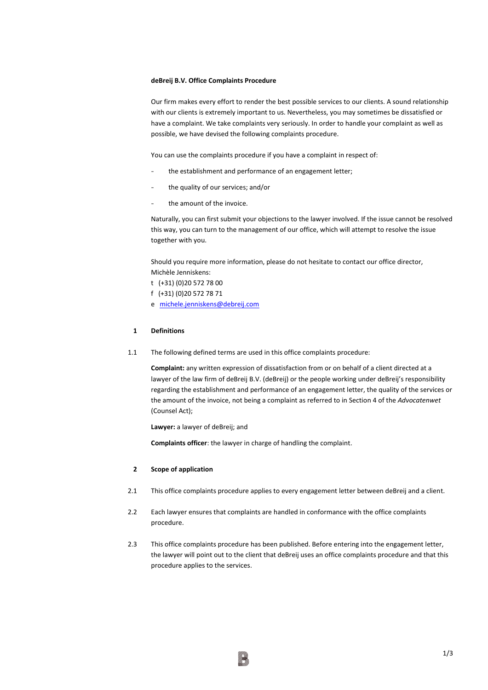### **deBreij B.V. Office Complaints Procedure**

Our firm makes every effort to render the best possible services to our clients. A sound relationship with our clients is extremely important to us. Nevertheless, you may sometimes be dissatisfied or have a complaint. We take complaints very seriously. In order to handle your complaint as well as possible, we have devised the following complaints procedure.

You can use the complaints procedure if you have a complaint in respect of:

- the establishment and performance of an engagement letter;
- the quality of our services; and/or
- the amount of the invoice.

Naturally, you can first submit your objections to the lawyer involved. If the issue cannot be resolved this way, you can turn to the management of our office, which will attempt to resolve the issue together with you.

Should you require more information, please do not hesitate to contact our office director, Michèle Jenniskens:

- t (+31) (0)20 572 78 00
- f (+31) (0)20 572 78 71
- e [michele.jenniskens@debreij.com](mailto:michele.jenniskens@debreij.com)

#### **1 Definitions**

1.1 The following defined terms are used in this office complaints procedure:

**Complaint:** any written expression of dissatisfaction from or on behalf of a client directed at a lawyer of the law firm of deBreij B.V. (deBreij) or the people working under deBreij's responsibility regarding the establishment and performance of an engagement letter, the quality of the services or the amount of the invoice, not being a complaint as referred to in Section 4 of the *Advocatenwet* (Counsel Act);

**Lawyer:** a lawyer of deBreij; and

**Complaints officer**: the lawyer in charge of handling the complaint.

#### **2 Scope of application**

- 2.1 This office complaints procedure applies to every engagement letter between deBreij and a client.
- 2.2 Each lawyer ensures that complaints are handled in conformance with the office complaints procedure.
- 2.3 This office complaints procedure has been published. Before entering into the engagement letter, the lawyer will point out to the client that deBreij uses an office complaints procedure and that this procedure applies to the services.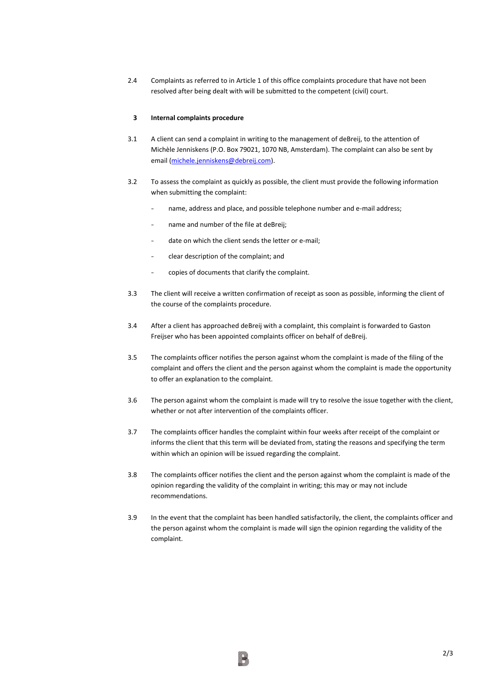2.4 Complaints as referred to in Article 1 of this office complaints procedure that have not been resolved after being dealt with will be submitted to the competent (civil) court.

#### **3 Internal complaints procedure**

- 3.1 A client can send a complaint in writing to the management of deBreij, to the attention of Michèle Jenniskens (P.O. Box 79021, 1070 NB, Amsterdam). The complaint can also be sent by email [\(michele.jenniskens@debreij.com\)](mailto:michele.jenniskens@debreij.com).
- 3.2 To assess the complaint as quickly as possible, the client must provide the following information when submitting the complaint:
	- name, address and place, and possible telephone number and e-mail address;
	- name and number of the file at deBreij;
	- date on which the client sends the letter or e-mail;
	- clear description of the complaint; and
	- copies of documents that clarify the complaint.
- 3.3 The client will receive a written confirmation of receipt as soon as possible, informing the client of the course of the complaints procedure.
- 3.4 After a client has approached deBreij with a complaint, this complaint is forwarded to Gaston Freijser who has been appointed complaints officer on behalf of deBreij.
- 3.5 The complaints officer notifies the person against whom the complaint is made of the filing of the complaint and offers the client and the person against whom the complaint is made the opportunity to offer an explanation to the complaint.
- 3.6 The person against whom the complaint is made will try to resolve the issue together with the client, whether or not after intervention of the complaints officer.
- 3.7 The complaints officer handles the complaint within four weeks after receipt of the complaint or informs the client that this term will be deviated from, stating the reasons and specifying the term within which an opinion will be issued regarding the complaint.
- 3.8 The complaints officer notifies the client and the person against whom the complaint is made of the opinion regarding the validity of the complaint in writing; this may or may not include recommendations.
- 3.9 In the event that the complaint has been handled satisfactorily, the client, the complaints officer and the person against whom the complaint is made will sign the opinion regarding the validity of the complaint.